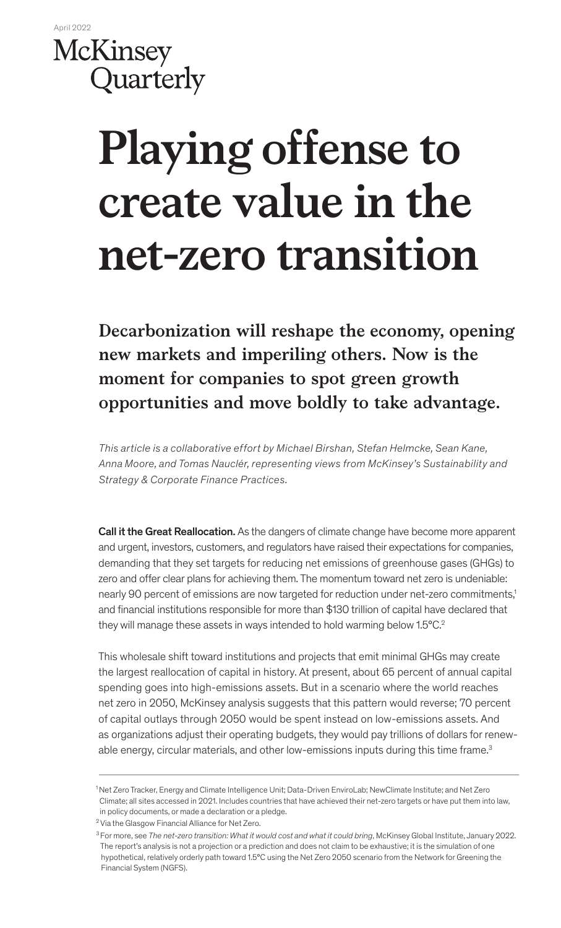

# **Playing offense to create value in the net-zero transition**

**Decarbonization will reshape the economy, opening new markets and imperiling others. Now is the moment for companies to spot green growth opportunities and move boldly to take advantage.**

*This article is a collaborative effort by Michael Birshan, Stefan Helmcke, Sean Kane, Anna Moore, and Tomas Nauclér, representing views from McKinsey's Sustainability and Strategy & Corporate Finance Practices.*

Call it the Great Reallocation. As the dangers of climate change have become more apparent and urgent, investors, customers, and regulators have raised their expectations for companies, demanding that they set targets for reducing net emissions of greenhouse gases (GHGs) to zero and offer clear plans for achieving them. The momentum toward net zero is undeniable: nearly 90 percent of emissions are now targeted for reduction under net-zero commitments,1 and financial institutions responsible for more than \$130 trillion of capital have declared that they will manage these assets in ways intended to hold warming below 1.5°C.2

This wholesale shift toward institutions and projects that emit minimal GHGs may create the largest reallocation of capital in history. At present, about 65 percent of annual capital spending goes into high-emissions assets. But in a scenario where the world reaches net zero in 2050, McKinsey analysis suggests that this pattern would reverse; 70 percent of capital outlays through 2050 would be spent instead on low-emissions assets. And as organizations adjust their operating budgets, they would pay trillions of dollars for renewable energy, circular materials, and other low-emissions inputs during this time frame.<sup>3</sup>

<sup>1</sup> Net Zero Tracker, Energy and Climate Intelligence Unit; Data-Driven EnviroLab; NewClimate Institute; and Net Zero Climate; all sites accessed in 2021. Includes countries that have achieved their net-zero targets or have put them into law, in policy documents, or made a declaration or a pledge.

<sup>&</sup>lt;sup>2</sup> Via the Glasgow Financial Alliance for Net Zero.

<sup>3</sup> For more, see *The net-zero transition: What it would cost and what it could bring*, McKinsey Global Institute, January 2022. The report's analysis is not a projection or a prediction and does not claim to be exhaustive; it is the simulation of one hypothetical, relatively orderly path toward 1.5°C using the Net Zero 2050 scenario from the Network for Greening the Financial System (NGFS).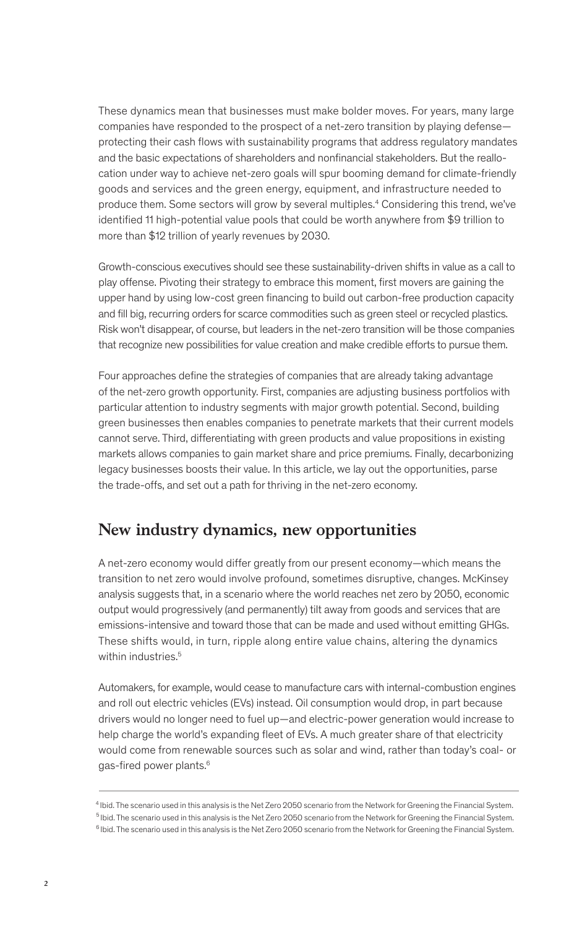These dynamics mean that businesses must make bolder moves. For years, many large companies have responded to the prospect of a net-zero transition by playing defense protecting their cash flows with sustainability programs that address regulatory mandates and the basic expectations of shareholders and nonfinancial stakeholders. But the reallocation under way to achieve net-zero goals will spur booming demand for climate-friendly goods and services and the green energy, equipment, and infrastructure needed to produce them. Some sectors will grow by several multiples.4 Considering this trend, we've identified 11 high-potential value pools that could be worth anywhere from \$9 trillion to more than \$12 trillion of yearly revenues by 2030.

Growth-conscious executives should see these sustainability-driven shifts in value as a call to play offense. Pivoting their strategy to embrace this moment, first movers are gaining the upper hand by using low-cost green financing to build out carbon-free production capacity and fill big, recurring orders for scarce commodities such as green steel or recycled plastics. Risk won't disappear, of course, but leaders in the net-zero transition will be those companies that recognize new possibilities for value creation and make credible efforts to pursue them.

Four approaches define the strategies of companies that are already taking advantage of the net-zero growth opportunity. First, companies are adjusting business portfolios with particular attention to industry segments with major growth potential. Second, building green businesses then enables companies to penetrate markets that their current models cannot serve. Third, differentiating with green products and value propositions in existing markets allows companies to gain market share and price premiums. Finally, decarbonizing legacy businesses boosts their value. In this article, we lay out the opportunities, parse the trade-offs, and set out a path for thriving in the net-zero economy.

# **New industry dynamics, new opportunities**

A net-zero economy would differ greatly from our present economy—which means the transition to net zero would involve profound, sometimes disruptive, changes. McKinsey analysis suggests that, in a scenario where the world reaches net zero by 2050, economic output would progressively (and permanently) tilt away from goods and services that are emissions-intensive and toward those that can be made and used without emitting GHGs. These shifts would, in turn, ripple along entire value chains, altering the dynamics within industries.<sup>5</sup>

Automakers, for example, would cease to manufacture cars with internal-combustion engines and roll out electric vehicles (EVs) instead. Oil consumption would drop, in part because drivers would no longer need to fuel up—and electric-power generation would increase to help charge the world's expanding fleet of EVs. A much greater share of that electricity would come from renewable sources such as solar and wind, rather than today's coal- or gas-fired power plants.6

<sup>4</sup> Ibid. The scenario used in this analysis is the Net Zero 2050 scenario from the Network for Greening the Financial System.

<sup>&</sup>lt;sup>5</sup> Ibid. The scenario used in this analysis is the Net Zero 2050 scenario from the Network for Greening the Financial System.

<sup>&</sup>lt;sup>6</sup> Ibid. The scenario used in this analysis is the Net Zero 2050 scenario from the Network for Greening the Financial System.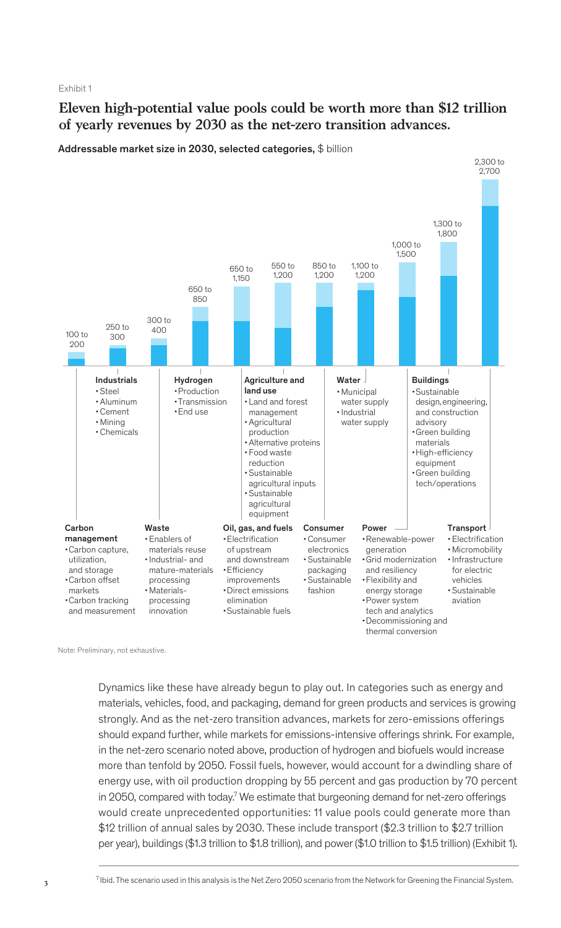Exhibit 1

## **Eleven high-potential value pools could be worth more than \$12 trillion of yearly revenues by 2030 as the net-zero transition advances.**



Addressable market size in 2030, selected categories, \$ billion

Note: Preliminary, not exhaustive.

Dynamics like these have already begun to play out. In categories such as energy and materials, vehicles, food, and packaging, demand for green products and services is growing strongly. And as the net-zero transition advances, markets for zero-emissions offerings should expand further, while markets for emissions-intensive offerings shrink. For example, in the net-zero scenario noted above, production of hydrogen and biofuels would increase more than tenfold by 2050. Fossil fuels, however, would account for a dwindling share of energy use, with oil production dropping by 55 percent and gas production by 70 percent in 2050, compared with today.<sup>7</sup> We estimate that burgeoning demand for net-zero offerings would create unprecedented opportunities: 11 value pools could generate more than \$12 trillion of annual sales by 2030. These include transport (\$2.3 trillion to \$2.7 trillion per year), buildings (\$1.3 trillion to \$1.8 trillion), and power (\$1.0 trillion to \$1.5 trillion) (Exhibit 1).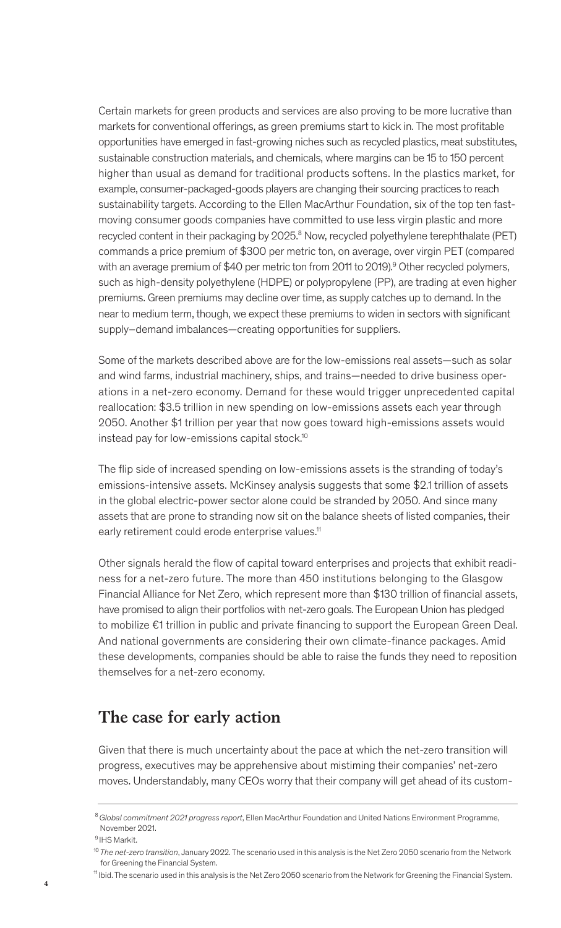Certain markets for green products and services are also proving to be more lucrative than markets for conventional offerings, as green premiums start to kick in. The most profitable opportunities have emerged in fast-growing niches such as recycled plastics, meat substitutes, sustainable construction materials, and chemicals, where margins can be 15 to 150 percent higher than usual as demand for traditional products softens. In the plastics market, for example, consumer-packaged-goods players are changing their sourcing practices to reach sustainability targets. According to the Ellen MacArthur Foundation, six of the top ten fastmoving consumer goods companies have committed to use less virgin plastic and more recycled content in their packaging by 2025.<sup>8</sup> Now, recycled polyethylene terephthalate (PET) commands a price premium of \$300 per metric ton, on average, over virgin PET (compared with an average premium of \$40 per metric ton from 2011 to 2019).<sup>9</sup> Other recycled polymers, such as high-density polyethylene (HDPE) or polypropylene (PP), are trading at even higher premiums. Green premiums may decline over time, as supply catches up to demand. In the near to medium term, though, we expect these premiums to widen in sectors with significant supply–demand imbalances—creating opportunities for suppliers.

Some of the markets described above are for the low-emissions real assets—such as solar and wind farms, industrial machinery, ships, and trains—needed to drive business operations in a net-zero economy. Demand for these would trigger unprecedented capital reallocation: \$3.5 trillion in new spending on low-emissions assets each year through 2050. Another \$1 trillion per year that now goes toward high-emissions assets would instead pay for low-emissions capital stock.10

The flip side of increased spending on low-emissions assets is the stranding of today's emissions-intensive assets. McKinsey analysis suggests that some \$2.1 trillion of assets in the global electric-power sector alone could be stranded by 2050. And since many assets that are prone to stranding now sit on the balance sheets of listed companies, their early retirement could erode enterprise values.<sup>11</sup>

Other signals herald the flow of capital toward enterprises and projects that exhibit readiness for a net-zero future. The more than 450 institutions belonging to the Glasgow Financial Alliance for Net Zero, which represent more than \$130 trillion of financial assets, have promised to align their portfolios with net-zero goals. The European Union has pledged to mobilize €1 trillion in public and private financing to support the European Green Deal. And national governments are considering their own climate-finance packages. Amid these developments, companies should be able to raise the funds they need to reposition themselves for a net-zero economy.

# **The case for early action**

Given that there is much uncertainty about the pace at which the net-zero transition will progress, executives may be apprehensive about mistiming their companies' net-zero moves. Understandably, many CEOs worry that their company will get ahead of its custom-

<sup>8</sup>*Global commitment 2021 progress report*, Ellen MacArthur Foundation and United Nations Environment Programme, November 2021.

 <sup>9</sup> IHS Markit.

<sup>10</sup>*The net-zero transition*, January 2022. The scenario used in this analysis is the Net Zero 2050 scenario from the Network for Greening the Financial System.

<sup>11</sup> Ibid. The scenario used in this analysis is the Net Zero 2050 scenario from the Network for Greening the Financial System.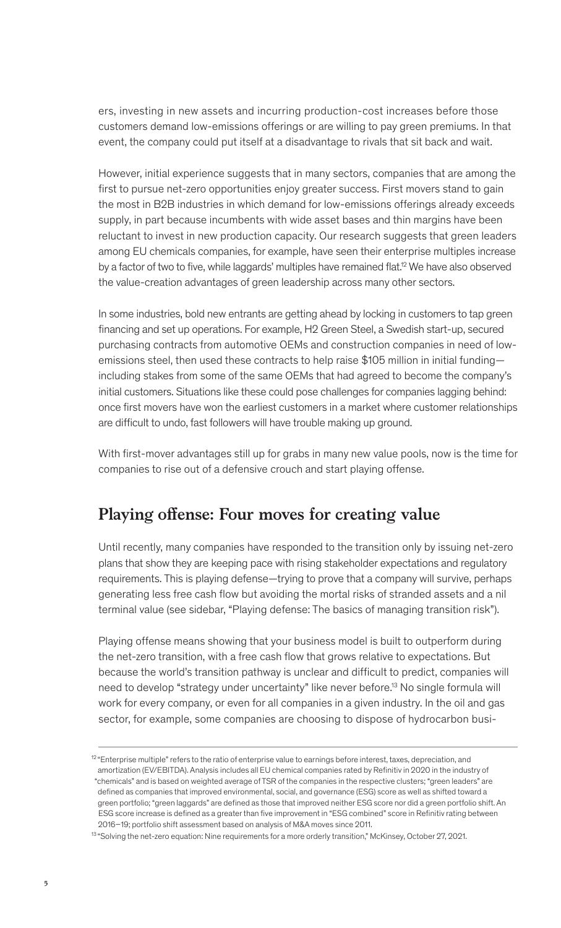ers, investing in new assets and incurring production-cost increases before those customers demand low-emissions offerings or are willing to pay green premiums. In that event, the company could put itself at a disadvantage to rivals that sit back and wait.

However, initial experience suggests that in many sectors, companies that are among the first to pursue net-zero opportunities enjoy greater success. First movers stand to gain the most in B2B industries in which demand for low-emissions offerings already exceeds supply, in part because incumbents with wide asset bases and thin margins have been reluctant to invest in new production capacity. Our research suggests that green leaders among EU chemicals companies, for example, have seen their enterprise multiples increase by a factor of two to five, while laggards' multiples have remained flat.<sup>12</sup> We have also observed the value-creation advantages of green leadership across many other sectors.

In some industries, bold new entrants are getting ahead by locking in customers to tap green financing and set up operations. For example, H2 Green Steel, a Swedish start-up, secured purchasing contracts from automotive OEMs and construction companies in need of lowemissions steel, then used these contracts to help raise \$105 million in initial fundingincluding stakes from some of the same OEMs that had agreed to become the company's initial customers. Situations like these could pose challenges for companies lagging behind: once first movers have won the earliest customers in a market where customer relationships are difficult to undo, fast followers will have trouble making up ground.

With first-mover advantages still up for grabs in many new value pools, now is the time for companies to rise out of a defensive crouch and start playing offense.

# **Playing offense: Four moves for creating value**

Until recently, many companies have responded to the transition only by issuing net-zero plans that show they are keeping pace with rising stakeholder expectations and regulatory requirements. This is playing defense—trying to prove that a company will survive, perhaps generating less free cash flow but avoiding the mortal risks of stranded assets and a nil terminal value (see sidebar, "Playing defense: The basics of managing transition risk").

Playing offense means showing that your business model is built to outperform during the net-zero transition, with a free cash flow that grows relative to expectations. But because the world's transition pathway is unclear and difficult to predict, companies will need to develop "strategy under uncertainty" like never before.<sup>13</sup> No single formula will work for every company, or even for all companies in a given industry. In the oil and gas sector, for example, some companies are choosing to dispose of hydrocarbon busi-

 $12$  "Enterprise multiple" refers to the ratio of enterprise value to earnings before interest, taxes, depreciation, and amortization (EV/EBITDA). Analysis includes all EU chemical companies rated by Refinitiv in 2020 in the industry of "chemicals" and is based on weighted average of TSR of the companies in the respective clusters; "green leaders" are defined as companies that improved environmental, social, and governance (ESG) score as well as shifted toward a green portfolio; "green laggards" are defined as those that improved neither ESG score nor did a green portfolio shift. An ESG score increase is defined as a greater than five improvement in "ESG combined" score in Refinitiv rating between 2016–19; portfolio shift assessment based on analysis of M&A moves since 2011.

<sup>&</sup>lt;sup>13</sup> "Solving the net-zero equation: Nine requirements for a more orderly transition," McKinsey, October 27, 2021.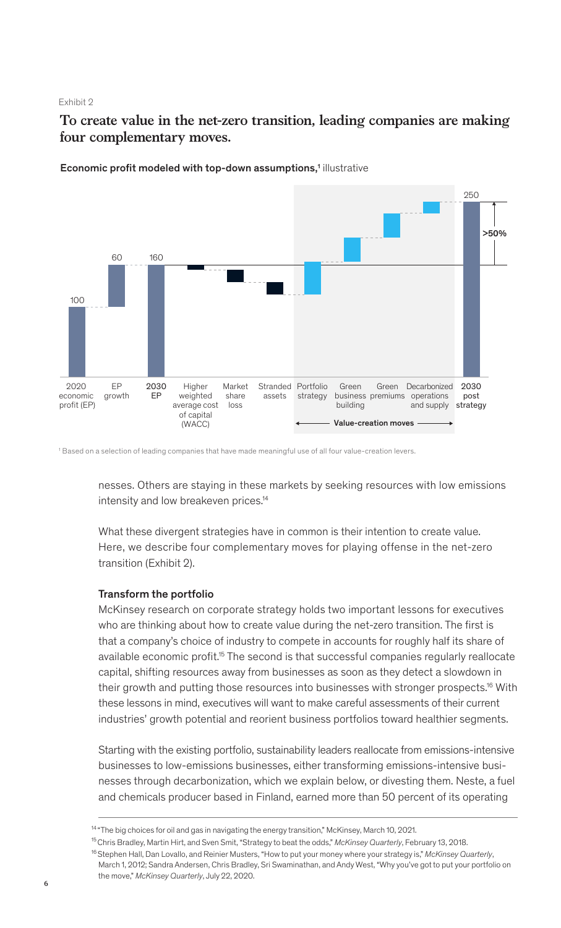### Exhibit 2

**To create value in the net-zero transition, leading companies are making four complementary moves.**



Economic profit modeled with top-down assumptions,<sup>1</sup> illustrative

1 Based on a selection of leading companies that have made meaningful use of all four value-creation levers.

nesses. Others are staying in these markets by seeking resources with low emissions intensity and low breakeven prices.14

What these divergent strategies have in common is their intention to create value. Here, we describe four complementary moves for playing offense in the net-zero transition (Exhibit 2).

### Transform the portfolio

McKinsey research on corporate strategy holds two important lessons for executives who are thinking about how to create value during the net-zero transition. The first is that a company's choice of industry to compete in accounts for roughly half its share of available economic profit.<sup>15</sup> The second is that successful companies regularly reallocate capital, shifting resources away from businesses as soon as they detect a slowdown in their growth and putting those resources into businesses with stronger prospects.16 With these lessons in mind, executives will want to make careful assessments of their current industries' growth potential and reorient business portfolios toward healthier segments.

Starting with the existing portfolio, sustainability leaders reallocate from emissions-intensive businesses to low-emissions businesses, either transforming emissions-intensive businesses through decarbonization, which we explain below, or divesting them. Neste, a fuel and chemicals producer based in Finland, earned more than 50 percent of its operating

<sup>&</sup>lt;sup>14</sup> "The big choices for oil and gas in navigating the energy transition," McKinsey, March 10, 2021.

<sup>15</sup> Chris Bradley, Martin Hirt, and Sven Smit, "Strategy to beat the odds," *McKinsey Quarterly*, February 13, 2018.

<sup>16</sup> Stephen Hall, Dan Lovallo, and Reinier Musters, "How to put your money where your strategy is," *McKinsey Quarterly*, March 1, 2012; Sandra Andersen, Chris Bradley, Sri Swaminathan, and Andy West, "Why you've got to put your portfolio on the move," *McKinsey Quarterly*, July 22, 2020.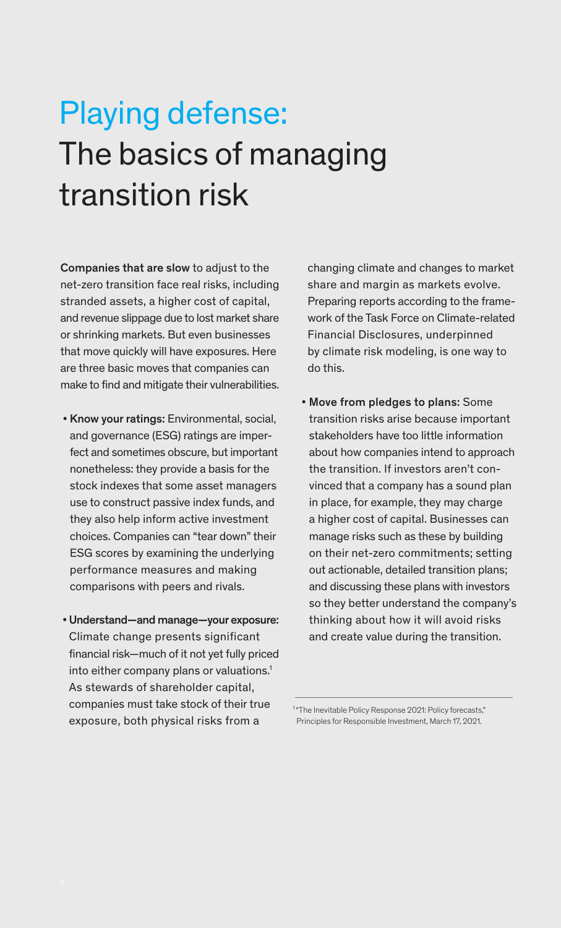# Playing defense: The basics of managing transition risk

Companies that are slow to adjust to the net-zero transition face real risks, including stranded assets, a higher cost of capital, and revenue slippage due to lost market share or shrinking markets. But even businesses that move quickly will have exposures. Here are three basic moves that companies can make to find and mitigate their vulnerabilities.

- Know your ratings: Environmental, social, and governance (ESG) ratings are imperfect and sometimes obscure, but important nonetheless: they provide a basis for the stock indexes that some asset managers use to construct passive index funds, and they also help inform active investment choices. Companies can "tear down" their ESG scores by examining the underlying performance measures and making comparisons with peers and rivals.
- Understand—and manage—your exposure: Climate change presents significant financial risk—much of it not yet fully priced into either company plans or valuations.<sup>1</sup> As stewards of shareholder capital, companies must take stock of their true exposure, both physical risks from a

changing climate and changes to market share and margin as markets evolve. Preparing reports according to the framework of the Task Force on Climate-related Financial Disclosures, underpinned by climate risk modeling, is one way to do this.

• Move from pledges to plans: Some transition risks arise because important stakeholders have too little information about how companies intend to approach the transition. If investors aren't convinced that a company has a sound plan in place, for example, they may charge a higher cost of capital. Businesses can manage risks such as these by building on their net-zero commitments; setting out actionable, detailed transition plans; and discussing these plans with investors so they better understand the company's thinking about how it will avoid risks and create value during the transition.

<sup>&</sup>lt;sup>1</sup> "The Inevitable Policy Response 2021: Policy forecasts," Principles for Responsible Investment, March 17, 2021.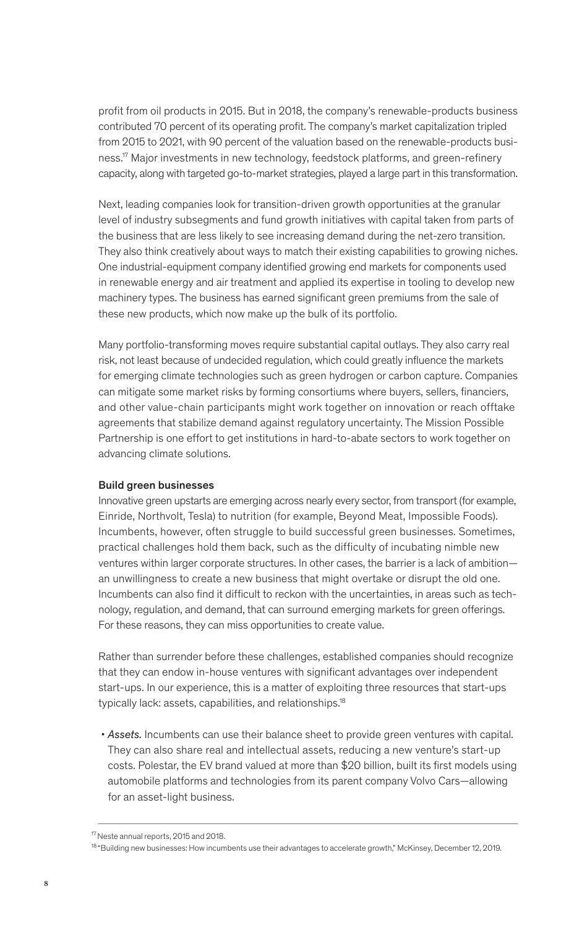profit from oil products in 2015. But in 2018, the company's renewable-products business contributed 70 percent of its operating profit. The company's market capitalization tripled from 2015 to 2021, with 90 percent of the valuation based on the renewable-products business.<sup>17</sup> Major investments in new technology, feedstock platforms, and green-refinery capacity, along with targeted go-to-market strategies, played a large part in this transformation.

Next, leading companies look for transition-driven growth opportunities at the granular level of industry subsegments and fund growth initiatives with capital taken from parts of the business that are less likely to see increasing demand during the net-zero transition. They also think creatively about ways to match their existing capabilities to growing niches. One industrial-equipment company identified growing end markets for components used in renewable energy and air treatment and applied its expertise in tooling to develop new machinery types. The business has earned significant green premiums from the sale of these new products, which now make up the bulk of its portfolio.

Many portfolio-transforming moves require substantial capital outlays. They also carry real risk, not least because of undecided regulation, which could greatly influence the markets for emerging climate technologies such as green hydrogen or carbon capture. Companies can mitigate some market risks by forming consortiums where buyers, sellers, financiers, and other value-chain participants might work together on innovation or reach offtake agreements that stabilize demand against regulatory uncertainty. The Mission Possible Partnership is one effort to get institutions in hard-to-abate sectors to work together on advancing climate solutions.

### Build green businesses

Innovative green upstarts are emerging across nearly every sector, from transport (for example, Einride, Northvolt, Tesla) to nutrition (for example, Beyond Meat, Impossible Foods). Incumbents, however, often struggle to build successful green businesses. Sometimes, practical challenges hold them back, such as the difficulty of incubating nimble new ventures within larger corporate structures. In other cases, the barrier is a lack of ambition an unwillingness to create a new business that might overtake or disrupt the old one. Incumbents can also find it difficult to reckon with the uncertainties, in areas such as technology, regulation, and demand, that can surround emerging markets for green offerings. For these reasons, they can miss opportunities to create value.

Rather than surrender before these challenges, established companies should recognize that they can endow in-house ventures with significant advantages over independent start-ups. In our experience, this is a matter of exploiting three resources that start-ups typically lack: assets, capabilities, and relationships.<sup>18</sup>

 • *Assets.* Incumbents can use their balance sheet to provide green ventures with capital. They can also share real and intellectual assets, reducing a new venture's start-up costs. Polestar, the EV brand valued at more than \$20 billion, built its first models using automobile platforms and technologies from its parent company Volvo Cars—allowing for an asset-light business.

<sup>&</sup>lt;sup>17</sup> Neste annual reports, 2015 and 2018.

<sup>18 &</sup>quot;Building new businesses: How incumbents use their advantages to accelerate growth," McKinsey, December 12, 2019.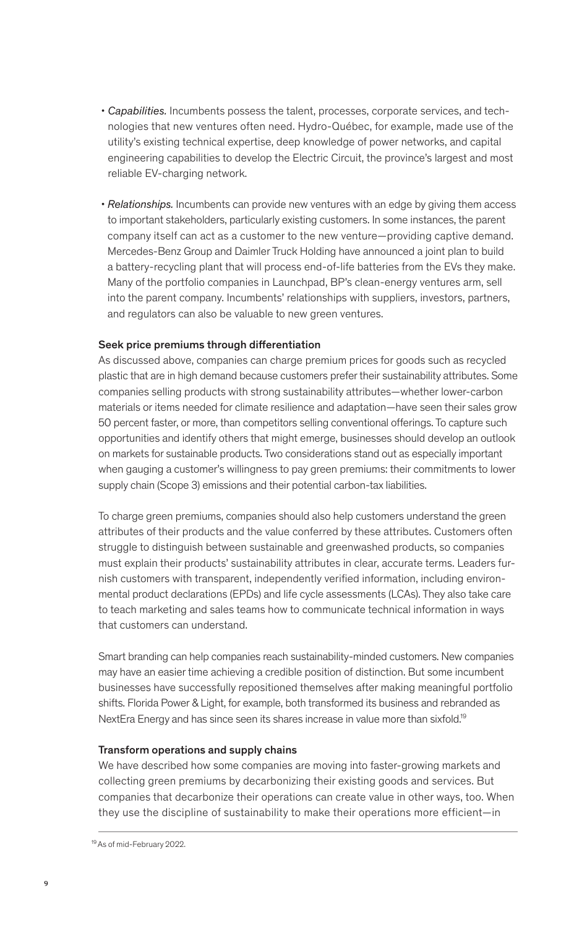- *Capabilities.* Incumbents possess the talent, processes, corporate services, and technologies that new ventures often need. Hydro-Québec, for example, made use of the utility's existing technical expertise, deep knowledge of power networks, and capital engineering capabilities to develop the Electric Circuit, the province's largest and most reliable EV-charging network.
- *Relationships.* Incumbents can provide new ventures with an edge by giving them access to important stakeholders, particularly existing customers. In some instances, the parent company itself can act as a customer to the new venture—providing captive demand. Mercedes-Benz Group and Daimler Truck Holding have announced a joint plan to build a battery-recycling plant that will process end-of-life batteries from the EVs they make. Many of the portfolio companies in Launchpad, BP's clean-energy ventures arm, sell into the parent company. Incumbents' relationships with suppliers, investors, partners, and regulators can also be valuable to new green ventures.

### Seek price premiums through differentiation

As discussed above, companies can charge premium prices for goods such as recycled plastic that are in high demand because customers prefer their sustainability attributes. Some companies selling products with strong sustainability attributes—whether lower-carbon materials or items needed for climate resilience and adaptation—have seen their sales grow 50 percent faster, or more, than competitors selling conventional offerings. To capture such opportunities and identify others that might emerge, businesses should develop an outlook on markets for sustainable products. Two considerations stand out as especially important when gauging a customer's willingness to pay green premiums: their commitments to lower supply chain (Scope 3) emissions and their potential carbon-tax liabilities.

To charge green premiums, companies should also help customers understand the green attributes of their products and the value conferred by these attributes. Customers often struggle to distinguish between sustainable and greenwashed products, so companies must explain their products' sustainability attributes in clear, accurate terms. Leaders furnish customers with transparent, independently verified information, including environmental product declarations (EPDs) and life cycle assessments (LCAs). They also take care to teach marketing and sales teams how to communicate technical information in ways that customers can understand.

Smart branding can help companies reach sustainability-minded customers. New companies may have an easier time achieving a credible position of distinction. But some incumbent businesses have successfully repositioned themselves after making meaningful portfolio shifts. Florida Power & Light, for example, both transformed its business and rebranded as NextEra Energy and has since seen its shares increase in value more than sixfold.19

### Transform operations and supply chains

We have described how some companies are moving into faster-growing markets and collecting green premiums by decarbonizing their existing goods and services. But companies that decarbonize their operations can create value in other ways, too. When they use the discipline of sustainability to make their operations more efficient—in

<sup>19</sup> As of mid-February 2022.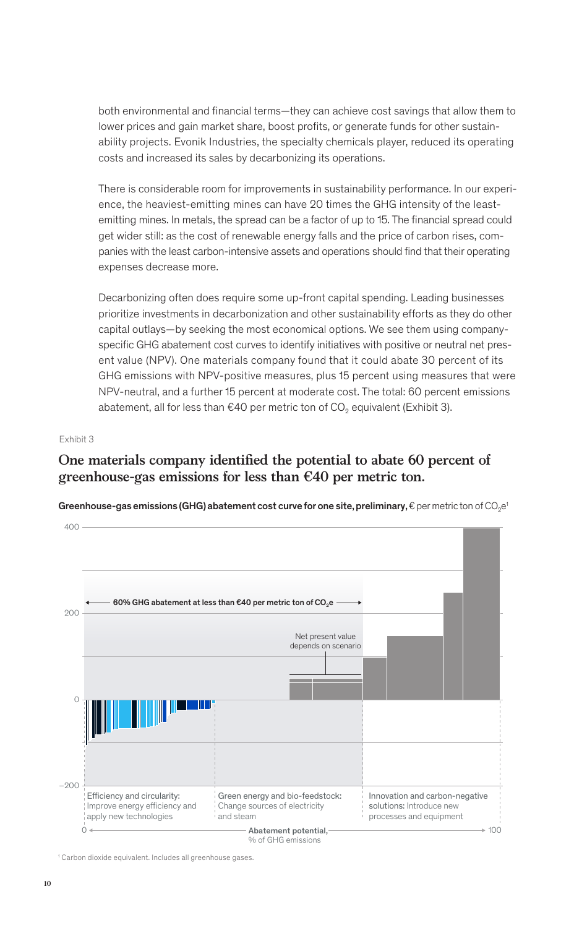both environmental and financial terms—they can achieve cost savings that allow them to lower prices and gain market share, boost profits, or generate funds for other sustainability projects. Evonik Industries, the specialty chemicals player, reduced its operating costs and increased its sales by decarbonizing its operations.

There is considerable room for improvements in sustainability performance. In our experience, the heaviest-emitting mines can have 20 times the GHG intensity of the leastemitting mines. In metals, the spread can be a factor of up to 15. The financial spread could get wider still: as the cost of renewable energy falls and the price of carbon rises, companies with the least carbon-intensive assets and operations should find that their operating expenses decrease more.

Decarbonizing often does require some up-front capital spending. Leading businesses prioritize investments in decarbonization and other sustainability efforts as they do other capital outlays—by seeking the most economical options. We see them using companyspecific GHG abatement cost curves to identify initiatives with positive or neutral net present value (NPV). One materials company found that it could abate 30 percent of its GHG emissions with NPV-positive measures, plus 15 percent using measures that were NPV-neutral, and a further 15 percent at moderate cost. The total: 60 percent emissions abatement, all for less than €40 per metric ton of CO<sub>2</sub> equivalent (Exhibit 3).

### Exhibit 3

## One materials company identified the potential to abate 60 percent of **greenhouse-gas emissions for less than €40 per metric ton.**

Greenhouse-gas emissions (GHG) abatement cost curve for one site, preliminary,  $\epsilon$  per metric ton of CO<sub>2</sub>e<sup>1</sup>



<sup>1</sup> Carbon dioxide equivalent. Includes all greenhouse gases.